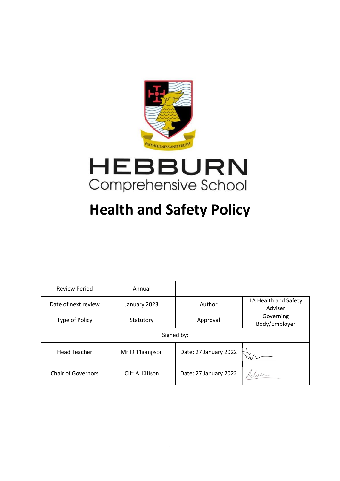



# **Health and Safety Policy**

| <b>Review Period</b>      | Annual         |                       |                                 |  |
|---------------------------|----------------|-----------------------|---------------------------------|--|
| Date of next review       | January 2023   | Author                | LA Health and Safety<br>Adviser |  |
| Type of Policy            | Statutory      | Approval              | Governing<br>Body/Employer      |  |
| Signed by:                |                |                       |                                 |  |
| <b>Head Teacher</b>       | Mr D Thompson  | Date: 27 January 2022 |                                 |  |
| <b>Chair of Governors</b> | Cllr A Ellison | Date: 27 January 2022 | Adam                            |  |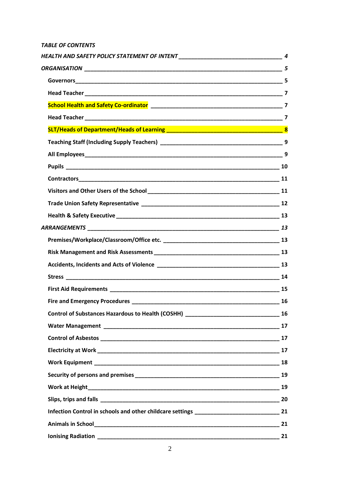# *TABLE OF CONTENTS*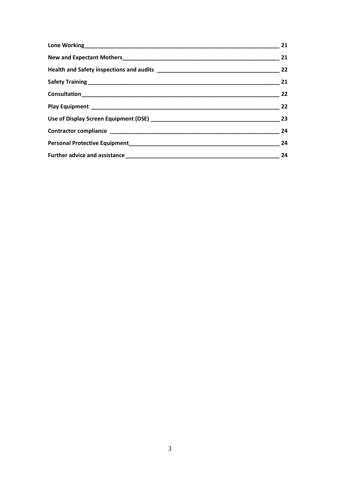| 21 |
|----|
| 21 |
| 22 |
| 21 |
| 22 |
| 22 |
| 23 |
| 24 |
| 24 |
| 24 |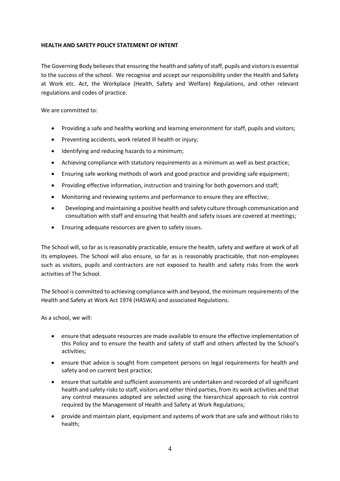## <span id="page-3-0"></span>**HEALTH AND SAFETY POLICY STATEMENT OF INTENT**

The Governing Body believes that ensuring the health and safety of staff, pupils and visitors is essential to the success of the school. We recognise and accept our responsibility under the Health and Safety at Work etc. Act, the Workplace (Health, Safety and Welfare) Regulations, and other relevant regulations and codes of practice.

We are committed to:

- Providing a safe and healthy working and learning environment for staff, pupils and visitors;
- Preventing accidents, work related ill health or injury;
- Identifying and reducing hazards to a minimum;
- Achieving compliance with statutory requirements as a minimum as well as best practice;
- Ensuring safe working methods of work and good practice and providing safe equipment;
- Providing effective information, instruction and training for both governors and staff;
- Monitoring and reviewing systems and performance to ensure they are effective;
- Developing and maintaining a positive health and safety culture through communication and consultation with staff and ensuring that health and safety issues are covered at meetings;
- Ensuring adequate resources are given to safety issues.

The School will, so far as is reasonably practicable, ensure the health, safety and welfare at work of all its employees. The School will also ensure, so far as is reasonably practicable, that non-employees such as visitors, pupils and contractors are not exposed to health and safety risks from the work activities of The School.

The School is committed to achieving compliance with and beyond, the minimum requirements of the Health and Safety at Work Act 1974 (HASWA) and associated Regulations.

As a school, we will:

- ensure that adequate resources are made available to ensure the effective implementation of this Policy and to ensure the health and safety of staff and others affected by the School's activities;
- ensure that advice is sought from competent persons on legal requirements for health and safety and on current best practice;
- ensure that suitable and sufficient assessments are undertaken and recorded of all significant health and safety risks to staff, visitors and other third parties, from its work activities and that any control measures adopted are selected using the hierarchical approach to risk control required by the Management of Health and Safety at Work Regulations;
- provide and maintain plant, equipment and systems of work that are safe and without risks to health;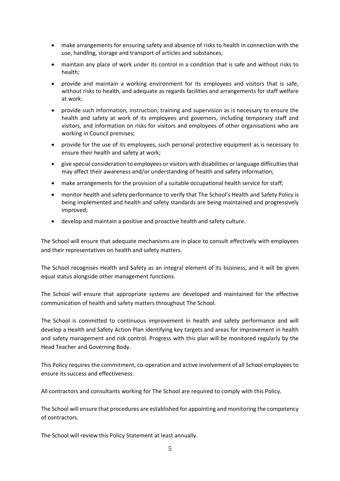- make arrangements for ensuring safety and absence of risks to health in connection with the use, handling, storage and transport of articles and substances;
- maintain any place of work under its control in a condition that is safe and without risks to health;
- provide and maintain a working environment for its employees and visitors that is safe, without risks to health, and adequate as regards facilities and arrangements for staff welfare at work;
- provide such information, instruction, training and supervision as is necessary to ensure the health and safety at work of its employees and governors, including temporary staff and visitors, and information on risks for visitors and employees of other organisations who are working in Council premises;
- provide for the use of its employees, such personal protective equipment as is necessary to ensure their health and safety at work;
- give special consideration to employees or visitors with disabilities or language difficulties that may affect their awareness and/or understanding of health and safety information;
- make arrangements for the provision of a suitable occupational health service for staff;
- monitor health and safety performance to verify that The School's Health and Safety Policy is being implemented and health and safety standards are being maintained and progressively improved;
- develop and maintain a positive and proactive health and safety culture.

The School will ensure that adequate mechanisms are in place to consult effectively with employees and their representatives on health and safety matters.

The School recognises Health and Safety as an integral element of its business, and it will be given equal status alongside other management functions.

The School will ensure that appropriate systems are developed and maintained for the effective communication of health and safety matters throughout The School.

The School is committed to continuous improvement in health and safety performance and will develop a Health and Safety Action Plan identifying key targets and areas for improvement in health and safety management and risk control. Progress with this plan will be monitored regularly by the Head Teacher and Governing Body.

This Policy requires the commitment, co-operation and active involvement of all School employees to ensure its success and effectiveness.

All contractors and consultants working for The School are required to comply with this Policy.

The School will ensure that procedures are established for appointing and monitoring the competency of contractors.

The School will review this Policy Statement at least annually.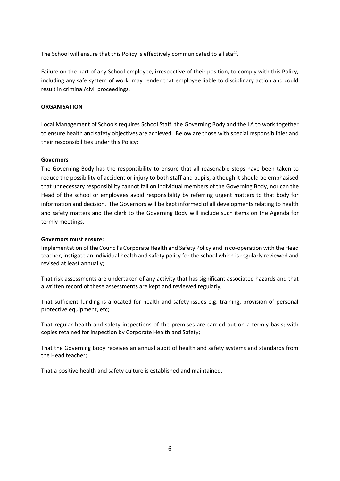The School will ensure that this Policy is effectively communicated to all staff.

Failure on the part of any School employee, irrespective of their position, to comply with this Policy, including any safe system of work, may render that employee liable to disciplinary action and could result in criminal/civil proceedings.

## <span id="page-5-0"></span>**ORGANISATION**

Local Management of Schools requires School Staff, the Governing Body and the LA to work together to ensure health and safety objectives are achieved. Below are those with special responsibilities and their responsibilities under this Policy:

## <span id="page-5-1"></span>**Governors**

The Governing Body has the responsibility to ensure that all reasonable steps have been taken to reduce the possibility of accident or injury to both staff and pupils, although it should be emphasised that unnecessary responsibility cannot fall on individual members of the Governing Body, nor can the Head of the school or employees avoid responsibility by referring urgent matters to that body for information and decision. The Governors will be kept informed of all developments relating to health and safety matters and the clerk to the Governing Body will include such items on the Agenda for termly meetings.

## **Governors must ensure:**

Implementation of the Council's Corporate Health and Safety Policy and in co-operation with the Head teacher, instigate an individual health and safety policy for the school which is regularly reviewed and revised at least annually;

That risk assessments are undertaken of any activity that has significant associated hazards and that a written record of these assessments are kept and reviewed regularly;

That sufficient funding is allocated for health and safety issues e.g. training, provision of personal protective equipment, etc;

That regular health and safety inspections of the premises are carried out on a termly basis; with copies retained for inspection by Corporate Health and Safety;

That the Governing Body receives an annual audit of health and safety systems and standards from the Head teacher;

That a positive health and safety culture is established and maintained.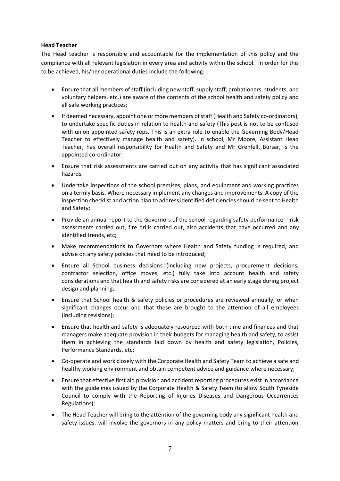## <span id="page-6-0"></span>**Head Teacher**

The Head teacher is responsible and accountable for the implementation of this policy and the compliance with all relevant legislation in every area and activity within the school. In order for this to be achieved, his/her operational duties include the following:

- Ensure that all members of staff (including new staff, supply staff, probationers, students, and voluntary helpers, etc.) are aware of the contents of the school health and safety policy and all safe working practices;
- If deemed necessary, appoint one or more members of staff (Health and Safety co-ordinators), to undertake specific duties in relation to health and safety (This post is not to be confused with union appointed safety reps. This is an extra role to enable the Governing Body/Head Teacher to effectively manage health and safety). In school, Mr Moore, Assistant Head Teacher, has overall responsibility for Health and Safety and Mr Grenfell, Bursar, is the appointed co-ordinator;
- Ensure that risk assessments are carried out on any activity that has significant associated hazards.
- Undertake inspections of the school premises, plans, and equipment and working practices on a termly basis. Where necessary implement any changes and improvements. A copy of the inspection checklist and action plan to address identified deficiencies should be sent to Health and Safety;
- Provide an annual report to the Governors of the school regarding safety performance risk assessments carried out, fire drills carried out, also accidents that have occurred and any identified trends, etc;
- Make recommendations to Governors where Health and Safety funding is required, and advise on any safety policies that need to be introduced;
- Ensure all School business decisions (including new projects, procurement decisions, contractor selection, office moves, etc.) fully take into account health and safety considerations and that health and safety risks are considered at an early stage during project design and planning;
- Ensure that School health & safety policies or procedures are reviewed annually, or when significant changes occur and that these are brought to the attention of all employees (including revisions);
- Ensure that health and safety is adequately resourced with both time and finances and that managers make adequate provision in their budgets for managing health and safety, to assist them in achieving the standards laid down by health and safety legislation, Policies, Performance Standards, etc;
- Co-operate and work closely with the Corporate Health and Safety Team to achieve a safe and healthy working environment and obtain competent advice and guidance where necessary;
- Ensure that effective first aid provision and accident reporting procedures exist in accordance with the guidelines issued by the Corporate Health & Safety Team (to allow South Tyneside Council to comply with the Reporting of Injuries Diseases and Dangerous Occurrences Regulations);
- The Head Teacher will bring to the attention of the governing body any significant health and safety issues, will involve the governors in any policy matters and bring to their attention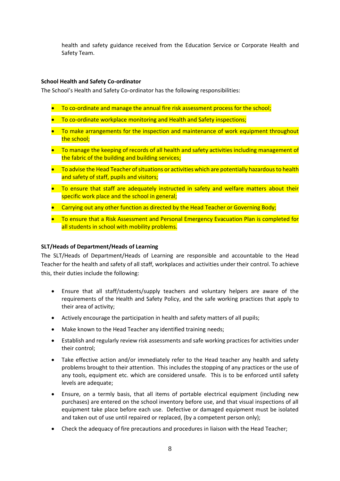health and safety guidance received from the Education Service or Corporate Health and Safety Team.

## <span id="page-7-0"></span>**School Health and Safety Co-ordinator**

The School's Health and Safety Co-ordinator has the following responsibilities:

- To co-ordinate and manage the annual fire risk assessment process for the school;
- To co-ordinate workplace monitoring and Health and Safety inspections;
- To make arrangements for the inspection and maintenance of work equipment throughout the school;
- To manage the keeping of records of all health and safety activities including management of the fabric of the building and building services;
- To advise the Head Teacher of situations or activities which are potentially hazardous to health and safety of staff, pupils and visitors;
- To ensure that staff are adequately instructed in safety and welfare matters about their specific work place and the school in general;
- Carrying out any other function as directed by the Head Teacher or Governing Body;
- To ensure that a Risk Assessment and Personal Emergency Evacuation Plan is completed for all students in school with mobility problems.

## **SLT/Heads of Department/Heads of Learning**

The SLT/Heads of Department/Heads of Learning are responsible and accountable to the Head Teacher for the health and safety of all staff, workplaces and activities under their control. To achieve this, their duties include the following:

- Ensure that all staff/students/supply teachers and voluntary helpers are aware of the requirements of the Health and Safety Policy, and the safe working practices that apply to their area of activity;
- Actively encourage the participation in health and safety matters of all pupils;
- Make known to the Head Teacher any identified training needs;
- Establish and regularly review risk assessments and safe working practices for activities under their control;
- Take effective action and/or immediately refer to the Head teacher any health and safety problems brought to their attention. This includes the stopping of any practices or the use of any tools, equipment etc. which are considered unsafe. This is to be enforced until safety levels are adequate;
- Ensure, on a termly basis, that all items of portable electrical equipment (including new purchases) are entered on the school inventory before use, and that visual inspections of all equipment take place before each use. Defective or damaged equipment must be isolated and taken out of use until repaired or replaced, (by a competent person only);
- Check the adequacy of fire precautions and procedures in liaison with the Head Teacher;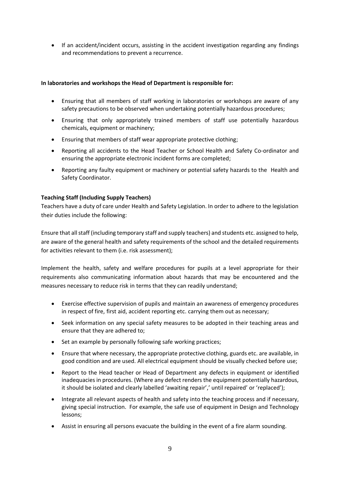• If an accident/incident occurs, assisting in the accident investigation regarding any findings and recommendations to prevent a recurrence.

## **In laboratories and workshops the Head of Department is responsible for:**

- Ensuring that all members of staff working in laboratories or workshops are aware of any safety precautions to be observed when undertaking potentially hazardous procedures;
- Ensuring that only appropriately trained members of staff use potentially hazardous chemicals, equipment or machinery;
- Ensuring that members of staff wear appropriate protective clothing;
- Reporting all accidents to the Head Teacher or School Health and Safety Co-ordinator and ensuring the appropriate electronic incident forms are completed;
- Reporting any faulty equipment or machinery or potential safety hazards to the Health and Safety Coordinator.

## <span id="page-8-0"></span>**Teaching Staff (Including Supply Teachers)**

Teachers have a duty of care under Health and Safety Legislation. In order to adhere to the legislation their duties include the following:

Ensure that all staff (including temporary staff and supply teachers) and students etc. assigned to help, are aware of the general health and safety requirements of the school and the detailed requirements for activities relevant to them (i.e. risk assessment);

Implement the health, safety and welfare procedures for pupils at a level appropriate for their requirements also communicating information about hazards that may be encountered and the measures necessary to reduce risk in terms that they can readily understand;

- Exercise effective supervision of pupils and maintain an awareness of emergency procedures in respect of fire, first aid, accident reporting etc. carrying them out as necessary;
- Seek information on any special safety measures to be adopted in their teaching areas and ensure that they are adhered to;
- Set an example by personally following safe working practices;
- Ensure that where necessary, the appropriate protective clothing, guards etc. are available, in good condition and are used. All electrical equipment should be visually checked before use;
- Report to the Head teacher or Head of Department any defects in equipment or identified inadequacies in procedures. (Where any defect renders the equipment potentially hazardous, it should be isolated and clearly labelled 'awaiting repair',' until repaired' or 'replaced');
- Integrate all relevant aspects of health and safety into the teaching process and if necessary, giving special instruction. For example, the safe use of equipment in Design and Technology lessons;
- Assist in ensuring all persons evacuate the building in the event of a fire alarm sounding.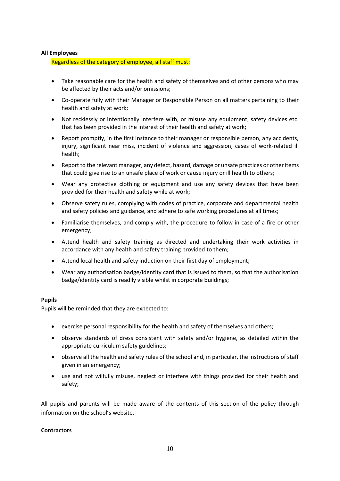## <span id="page-9-0"></span>**All Employees**

Regardless of the category of employee, all staff must:

- Take reasonable care for the health and safety of themselves and of other persons who may be affected by their acts and/or omissions;
- Co-operate fully with their Manager or Responsible Person on all matters pertaining to their health and safety at work;
- Not recklessly or intentionally interfere with, or misuse any equipment, safety devices etc. that has been provided in the interest of their health and safety at work;
- Report promptly, in the first instance to their manager or responsible person, any accidents, injury, significant near miss, incident of violence and aggression, cases of work-related ill health;
- Report to the relevant manager, any defect, hazard, damage or unsafe practices or other items that could give rise to an unsafe place of work or cause injury or ill health to others;
- Wear any protective clothing or equipment and use any safety devices that have been provided for their health and safety while at work;
- Observe safety rules, complying with codes of practice, corporate and departmental health and safety policies and guidance, and adhere to safe working procedures at all times;
- Familiarise themselves, and comply with, the procedure to follow in case of a fire or other emergency;
- Attend health and safety training as directed and undertaking their work activities in accordance with any health and safety training provided to them;
- Attend local health and safety induction on their first day of employment;
- Wear any authorisation badge/identity card that is issued to them, so that the authorisation badge/identity card is readily visible whilst in corporate buildings;

## <span id="page-9-1"></span>**Pupils**

Pupils will be reminded that they are expected to:

- exercise personal responsibility for the health and safety of themselves and others;
- observe standards of dress consistent with safety and/or hygiene, as detailed within the appropriate curriculum safety guidelines;
- observe all the health and safety rules of the school and, in particular, the instructions of staff given in an emergency;
- <span id="page-9-2"></span>• use and not wilfully misuse, neglect or interfere with things provided for their health and safety;

All pupils and parents will be made aware of the contents of this section of the policy through information on the school's website.

#### **Contractors**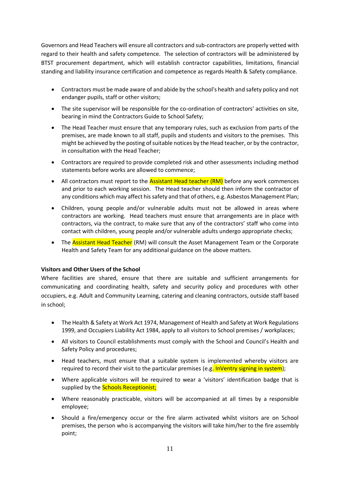Governors and Head Teachers will ensure all contractors and sub-contractors are properly vetted with regard to their health and safety competence. The selection of contractors will be administered by BTST procurement department, which will establish contractor capabilities, limitations, financial standing and liability insurance certification and competence as regards Health & Safety compliance.

- Contractors must be made aware of and abide by the school's health and safety policy and not endanger pupils, staff or other visitors;
- The site supervisor will be responsible for the co-ordination of contractors' activities on site, bearing in mind the Contractors Guide to School Safety;
- The Head Teacher must ensure that any temporary rules, such as exclusion from parts of the premises, are made known to all staff, pupils and students and visitors to the premises. This might be achieved by the posting of suitable notices by the Head teacher, or by the contractor, in consultation with the Head Teacher;
- Contractors are required to provide completed risk and other assessments including method statements before works are allowed to commence;
- All contractors must report to the **Assistant Head teacher (RM)** before any work commences and prior to each working session. The Head teacher should then inform the contractor of any conditions which may affect his safety and that of others, e.g. Asbestos Management Plan;
- Children, young people and/or vulnerable adults must not be allowed in areas where contractors are working. Head teachers must ensure that arrangements are in place with contractors, via the contract, to make sure that any of the contractors' staff who come into contact with children, young people and/or vulnerable adults undergo appropriate checks;
- <span id="page-10-0"></span>The **Assistant Head Teacher** (RM) will consult the Asset Management Team or the Corporate Health and Safety Team for any additional guidance on the above matters.

# **Visitors and Other Users of the School**

Where facilities are shared, ensure that there are suitable and sufficient arrangements for communicating and coordinating health, safety and security policy and procedures with other occupiers, e.g. Adult and Community Learning, catering and cleaning contractors, outside staff based in school;

- The Health & Safety at Work Act 1974, Management of Health and Safety at Work Regulations 1999, and Occupiers Liability Act 1984, apply to all visitors to School premises / workplaces;
- All visitors to Council establishments must comply with the School and Council's Health and Safety Policy and procedures;
- Head teachers, must ensure that a suitable system is implemented whereby visitors are required to record their visit to the particular premises (e.g. InVentry signing in system);
- Where applicable visitors will be required to wear a 'visitors' identification badge that is supplied by the **Schools Receptionist;**
- Where reasonably practicable, visitors will be accompanied at all times by a responsible employee;
- Should a fire/emergency occur or the fire alarm activated whilst visitors are on School premises, the person who is accompanying the visitors will take him/her to the fire assembly point;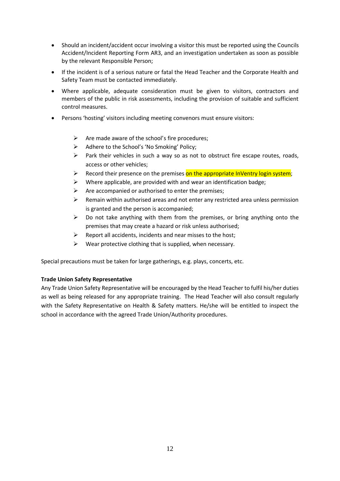- Should an incident/accident occur involving a visitor this must be reported using the Councils Accident/Incident Reporting Form AR3, and an investigation undertaken as soon as possible by the relevant Responsible Person;
- If the incident is of a serious nature or fatal the Head Teacher and the Corporate Health and Safety Team must be contacted immediately.
- Where applicable, adequate consideration must be given to visitors, contractors and members of the public in risk assessments, including the provision of suitable and sufficient control measures.
- Persons 'hosting' visitors including meeting convenors must ensure visitors:
	- $\triangleright$  Are made aware of the school's fire procedures;
	- Adhere to the School's 'No Smoking' Policy;
	- $\triangleright$  Park their vehicles in such a way so as not to obstruct fire escape routes, roads, access or other vehicles;
	- **►** Record their presence on the premises on the appropriate InVentry login system;
	- $\triangleright$  Where applicable, are provided with and wear an identification badge;
	- $\triangleright$  Are accompanied or authorised to enter the premises;
	- $\triangleright$  Remain within authorised areas and not enter any restricted area unless permission is granted and the person is accompanied;
	- $\triangleright$  Do not take anything with them from the premises, or bring anything onto the premises that may create a hazard or risk unless authorised;
	- $\triangleright$  Report all accidents, incidents and near misses to the host;
	- $\triangleright$  Wear protective clothing that is supplied, when necessary.

Special precautions must be taken for large gatherings, e.g. plays, concerts, etc.

## <span id="page-11-0"></span>**Trade Union Safety Representative**

<span id="page-11-1"></span>Any Trade Union Safety Representative will be encouraged by the Head Teacher to fulfil his/her duties as well as being released for any appropriate training. The Head Teacher will also consult regularly with the Safety Representative on Health & Safety matters. He/she will be entitled to inspect the school in accordance with the agreed Trade Union/Authority procedures.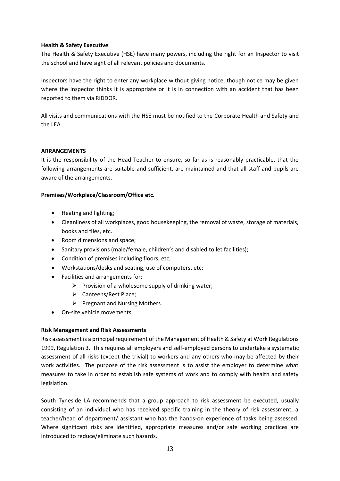## **Health & Safety Executive**

The Health & Safety Executive (HSE) have many powers, including the right for an Inspector to visit the school and have sight of all relevant policies and documents.

Inspectors have the right to enter any workplace without giving notice, though notice may be given where the inspector thinks it is appropriate or it is in connection with an accident that has been reported to them via RIDDOR.

<span id="page-12-0"></span>All visits and communications with the HSE must be notified to the Corporate Health and Safety and the LEA.

## **ARRANGEMENTS**

It is the responsibility of the Head Teacher to ensure, so far as is reasonably practicable, that the following arrangements are suitable and sufficient, are maintained and that all staff and pupils are aware of the arrangements.

## <span id="page-12-1"></span>**Premises/Workplace/Classroom/Office etc.**

- Heating and lighting;
- Cleanliness of all workplaces, good housekeeping, the removal of waste, storage of materials, books and files, etc.
- Room dimensions and space;
- Sanitary provisions (male/female, children's and disabled toilet facilities);
- Condition of premises including floors, etc;
- Workstations/desks and seating, use of computers, etc;
- Facilities and arrangements for:
	- $\triangleright$  Provision of a wholesome supply of drinking water;
	- ➢ Canteens/Rest Place;
	- $\triangleright$  Pregnant and Nursing Mothers.
- On-site vehicle movements.

# <span id="page-12-2"></span>**Risk Management and Risk Assessments**

Risk assessment is a principal requirement of the Management of Health & Safety at Work Regulations 1999, Regulation 3. This requires all employers and self-employed persons to undertake a systematic assessment of all risks (except the trivial) to workers and any others who may be affected by their work activities. The purpose of the risk assessment is to assist the employer to determine what measures to take in order to establish safe systems of work and to comply with health and safety legislation.

South Tyneside LA recommends that a group approach to risk assessment be executed, usually consisting of an individual who has received specific training in the theory of risk assessment, a teacher/head of department/ assistant who has the hands-on experience of tasks being assessed. Where significant risks are identified, appropriate measures and/or safe working practices are introduced to reduce/eliminate such hazards.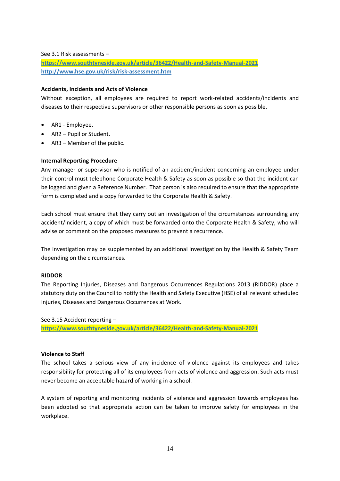#### See 3.1 Risk assessments –

**<https://www.southtyneside.gov.uk/article/36422/Health-and-Safety-Manual-2021> <http://www.hse.gov.uk/risk/risk-assessment.htm>**

## <span id="page-13-0"></span>**Accidents, Incidents and Acts of Violence**

Without exception, all employees are required to report work-related accidents/incidents and diseases to their respective supervisors or other responsible persons as soon as possible.

- AR1 Employee.
- AR2 Pupil or Student.
- AR3 Member of the public.

## **Internal Reporting Procedure**

Any manager or supervisor who is notified of an accident/incident concerning an employee under their control must telephone Corporate Health & Safety as soon as possible so that the incident can be logged and given a Reference Number. That person is also required to ensure that the appropriate form is completed and a copy forwarded to the Corporate Health & Safety.

Each school must ensure that they carry out an investigation of the circumstances surrounding any accident/incident, a copy of which must be forwarded onto the Corporate Health & Safety, who will advise or comment on the proposed measures to prevent a recurrence.

The investigation may be supplemented by an additional investigation by the Health & Safety Team depending on the circumstances.

## **RIDDOR**

The Reporting Injuries, Diseases and Dangerous Occurrences Regulations 2013 (RIDDOR) place a statutory duty on the Council to notify the Health and Safety Executive (HSE) of all relevant scheduled Injuries, Diseases and Dangerous Occurrences at Work.

See 3.15 Accident reporting –

**<https://www.southtyneside.gov.uk/article/36422/Health-and-Safety-Manual-2021>**

## **Violence to Staff**

The school takes a serious view of any incidence of violence against its employees and takes responsibility for protecting all of its employees from acts of violence and aggression. Such acts must never become an acceptable hazard of working in a school.

A system of reporting and monitoring incidents of violence and aggression towards employees has been adopted so that appropriate action can be taken to improve safety for employees in the workplace.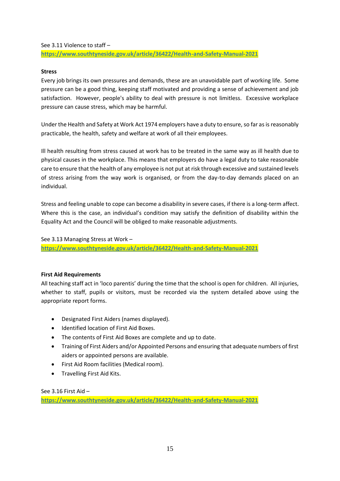See 3.11 Violence to staff –

<span id="page-14-0"></span>**<https://www.southtyneside.gov.uk/article/36422/Health-and-Safety-Manual-2021>**

## **Stress**

Every job brings its own pressures and demands, these are an unavoidable part of working life. Some pressure can be a good thing, keeping staff motivated and providing a sense of achievement and job satisfaction. However, people's ability to deal with pressure is not limitless. Excessive workplace pressure can cause stress, which may be harmful.

Under the Health and Safety at Work Act 1974 employers have a duty to ensure, so far as is reasonably practicable, the health, safety and welfare at work of all their employees.

Ill health resulting from stress caused at work has to be treated in the same way as ill health due to physical causes in the workplace. This means that employers do have a legal duty to take reasonable care to ensure that the health of any employee is not put at risk through excessive and sustained levels of stress arising from the way work is organised, or from the day-to-day demands placed on an individual.

Stress and feeling unable to cope can become a disability in severe cases, if there is a long-term affect. Where this is the case, an individual's condition may satisfy the definition of disability within the Equality Act and the Council will be obliged to make reasonable adjustments.

See 3.13 Managing Stress at Work –

**<https://www.southtyneside.gov.uk/article/36422/Health-and-Safety-Manual-2021>**

## <span id="page-14-1"></span>**First Aid Requirements**

All teaching staff act in 'loco parentis' during the time that the school is open for children. All injuries, whether to staff, pupils or visitors, must be recorded via the system detailed above using the appropriate report forms.

- Designated First Aiders (names displayed).
- Identified location of First Aid Boxes.
- The contents of First Aid Boxes are complete and up to date.
- Training of First Aiders and/or Appointed Persons and ensuring that adequate numbers of first aiders or appointed persons are available.
- First Aid Room facilities (Medical room).
- Travelling First Aid Kits.

See 3.16 First Aid –

<span id="page-14-2"></span>**<https://www.southtyneside.gov.uk/article/36422/Health-and-Safety-Manual-2021>**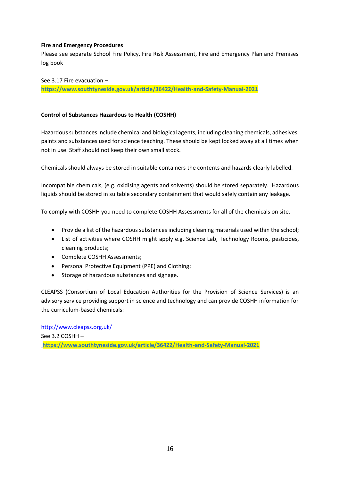## **Fire and Emergency Procedures**

Please see separate School Fire Policy, Fire Risk Assessment, Fire and Emergency Plan and Premises log book

See 3.17 Fire evacuation – **<https://www.southtyneside.gov.uk/article/36422/Health-and-Safety-Manual-2021>**

## <span id="page-15-0"></span>**Control of Substances Hazardous to Health (COSHH)**

Hazardous substances include chemical and biological agents, including cleaning chemicals, adhesives, paints and substances used for science teaching. These should be kept locked away at all times when not in use. Staff should not keep their own small stock.

Chemicals should always be stored in suitable containers the contents and hazards clearly labelled.

Incompatible chemicals, (e.g. oxidising agents and solvents) should be stored separately. Hazardous liquids should be stored in suitable secondary containment that would safely contain any leakage.

To comply with COSHH you need to complete COSHH Assessments for all of the chemicals on site.

- Provide a list of the hazardous substances including cleaning materials used within the school;
- List of activities where COSHH might apply e.g. Science Lab, Technology Rooms, pesticides, cleaning products;
- Complete COSHH Assessments;
- Personal Protective Equipment (PPE) and Clothing;
- Storage of hazardous substances and signage.

CLEAPSS (Consortium of Local Education Authorities for the Provision of Science Services) is an advisory service providing support in science and technology and can provide COSHH information for the curriculum-based chemicals:

<span id="page-15-1"></span><http://www.cleapss.org.uk/> See 3.2 COSHH – **<https://www.southtyneside.gov.uk/article/36422/Health-and-Safety-Manual-2021>**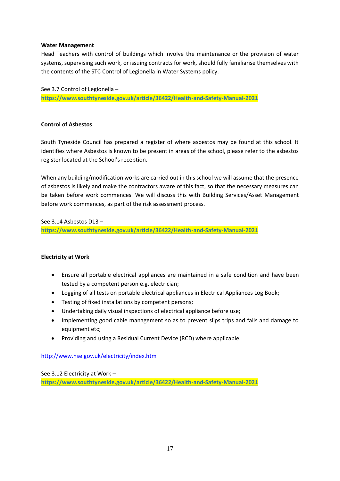## **Water Management**

Head Teachers with control of buildings which involve the maintenance or the provision of water systems, supervising such work, or issuing contracts for work, should fully familiarise themselves with the contents of the STC Control of Legionella in Water Systems policy.

See 3.7 Control of Legionella – **<https://www.southtyneside.gov.uk/article/36422/Health-and-Safety-Manual-2021>**

# <span id="page-16-0"></span>**Control of Asbestos**

South Tyneside Council has prepared a register of where asbestos may be found at this school. It identifies where Asbestos is known to be present in areas of the school, please refer to the asbestos register located at the School's reception.

When any building/modification works are carried out in this school we will assume that the presence of asbestos is likely and make the contractors aware of this fact, so that the necessary measures can be taken before work commences. We will discuss this with Building Services/Asset Management before work commences, as part of the risk assessment process.

See 3.14 Asbestos D13 –

**<https://www.southtyneside.gov.uk/article/36422/Health-and-Safety-Manual-2021>**

## <span id="page-16-1"></span>**Electricity at Work**

- Ensure all portable electrical appliances are maintained in a safe condition and have been tested by a competent person e.g. electrician;
- Logging of all tests on portable electrical appliances in Electrical Appliances Log Book;
- Testing of fixed installations by competent persons;
- Undertaking daily visual inspections of electrical appliance before use;
- Implementing good cable management so as to prevent slips trips and falls and damage to equipment etc;
- Providing and using a Residual Current Device (RCD) where applicable.

<http://www.hse.gov.uk/electricity/index.htm>

<span id="page-16-2"></span>See 3.12 Electricity at Work – **<https://www.southtyneside.gov.uk/article/36422/Health-and-Safety-Manual-2021>**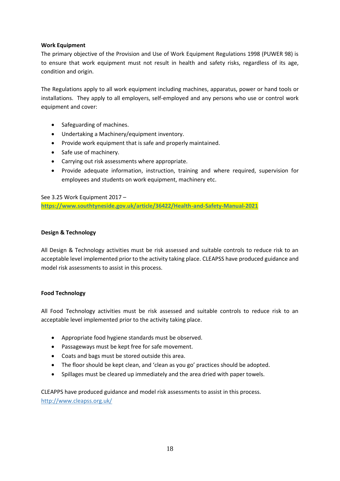## **Work Equipment**

The primary objective of the Provision and Use of Work Equipment Regulations 1998 (PUWER 98) is to ensure that work equipment must not result in health and safety risks, regardless of its age, condition and origin.

The Regulations apply to all work equipment including machines, apparatus, power or hand tools or installations. They apply to all employers, self-employed and any persons who use or control work equipment and cover:

- Safeguarding of machines.
- Undertaking a Machinery/equipment inventory.
- Provide work equipment that is safe and properly maintained.
- Safe use of machinery.
- Carrying out risk assessments where appropriate.
- Provide adequate information, instruction, training and where required, supervision for employees and students on work equipment, machinery etc.

See 3.25 Work Equipment 2017 –

**<https://www.southtyneside.gov.uk/article/36422/Health-and-Safety-Manual-2021>**

## **Design & Technology**

All Design & Technology activities must be risk assessed and suitable controls to reduce risk to an acceptable level implemented prior to the activity taking place. CLEAPSS have produced guidance and model risk assessments to assist in this process.

## **Food Technology**

All Food Technology activities must be risk assessed and suitable controls to reduce risk to an acceptable level implemented prior to the activity taking place.

- Appropriate food hygiene standards must be observed.
- Passageways must be kept free for safe movement.
- Coats and bags must be stored outside this area.
- The floor should be kept clean, and 'clean as you go' practices should be adopted.
- Spillages must be cleared up immediately and the area dried with paper towels.

<span id="page-17-0"></span>CLEAPPS have produced guidance and model risk assessments to assist in this process. <http://www.cleapss.org.uk/>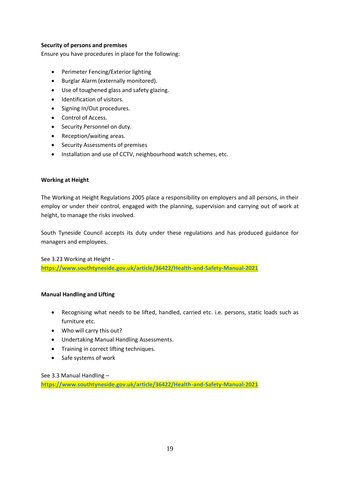# **Security of persons and premises**

Ensure you have procedures in place for the following:

- Perimeter Fencing/Exterior lighting
- Burglar Alarm (externally monitored).
- Use of toughened glass and safety glazing.
- Identification of visitors.
- Signing In/Out procedures.
- Control of Access.
- Security Personnel on duty.
- Reception/waiting areas.
- Security Assessments of premises
- Installation and use of CCTV, neighbourhood watch schemes, etc.

# <span id="page-18-0"></span>**Working at Height**

The Working at Height Regulations 2005 place a responsibility on employers and all persons, in their employ or under their control, engaged with the planning, supervision and carrying out of work at height, to manage the risks involved.

South Tyneside Council accepts its duty under these regulations and has produced guidance for managers and employees.

See 3.23 Working at Height **<https://www.southtyneside.gov.uk/article/36422/Health-and-Safety-Manual-2021>**

## **Manual Handling and Lifting**

- Recognising what needs to be lifted, handled, carried etc. i.e. persons, static loads such as furniture etc.
- Who will carry this out?
- Undertaking Manual Handling Assessments.
- Training in correct lifting techniques.
- Safe systems of work

See 3.3 Manual Handling –

<span id="page-18-1"></span>**<https://www.southtyneside.gov.uk/article/36422/Health-and-Safety-Manual-2021>**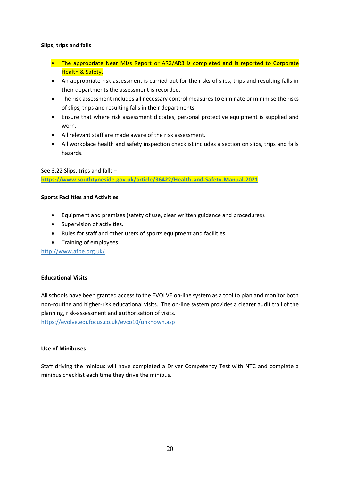## **Slips, trips and falls**

- The appropriate Near Miss Report or AR2/AR3 is completed and is reported to Corporate **Health & Safety.**
- An appropriate risk assessment is carried out for the risks of slips, trips and resulting falls in their departments the assessment is recorded.
- The risk assessment includes all necessary control measures to eliminate or minimise the risks of slips, trips and resulting falls in their departments.
- Ensure that where risk assessment dictates, personal protective equipment is supplied and worn.
- All relevant staff are made aware of the risk assessment.
- All workplace health and safety inspection checklist includes a section on slips, trips and falls hazards.

See 3.22 Slips, trips and falls –

**<https://www.southtyneside.gov.uk/article/36422/Health-and-Safety-Manual-2021>**

## **Sports Facilities and Activities**

- Equipment and premises (safety of use, clear written guidance and procedures).
- Supervision of activities.
- Rules for staff and other users of sports equipment and facilities.
- Training of employees.

<http://www.afpe.org.uk/>

# **Educational Visits**

All schools have been granted access to the EVOLVE on-line system as a tool to plan and monitor both non-routine and higher-risk educational visits. The on-line system provides a clearer audit trail of the planning, risk-assessment and authorisation of visits.

<https://evolve.edufocus.co.uk/evco10/unknown.asp>

## <span id="page-19-0"></span>**Use of Minibuses**

Staff driving the minibus will have completed a Driver Competency Test with NTC and complete a minibus checklist each time they drive the minibus.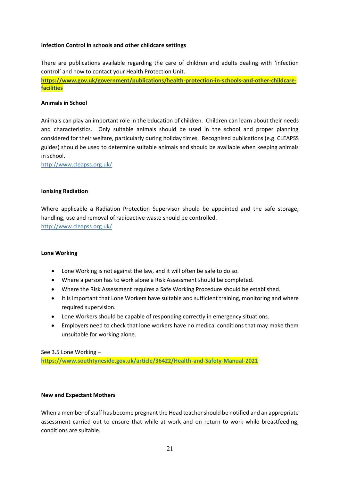## **Infection Control in schools and other childcare settings**

There are publications available regarding the care of children and adults dealing with 'infection control' and how to contact your Health Protection Unit.

**[https://www.gov.uk/government/publications/health-protection-in-schools-and-other-childcare](https://www.gov.uk/government/publications/health-protection-in-schools-and-other-childcare-facilities)[facilities](https://www.gov.uk/government/publications/health-protection-in-schools-and-other-childcare-facilities)**

## <span id="page-20-0"></span>**Animals in School**

Animals can play an important role in the education of children. Children can learn about their needs and characteristics. Only suitable animals should be used in the school and proper planning considered for their welfare, particularly during holiday times. Recognised publications (e.g. CLEAPSS guides) should be used to determine suitable animals and should be available when keeping animals in school.

<http://www.cleapss.org.uk/>

#### <span id="page-20-1"></span>**Ionising Radiation**

Where applicable a Radiation Protection Supervisor should be appointed and the safe storage, handling, use and removal of radioactive waste should be controlled. <http://www.cleapss.org.uk/>

#### <span id="page-20-2"></span>**Lone Working**

- Lone Working is not against the law, and it will often be safe to do so.
- Where a person has to work alone a Risk Assessment should be completed.
- Where the Risk Assessment requires a Safe Working Procedure should be established.
- It is important that Lone Workers have suitable and sufficient training, monitoring and where required supervision.
- Lone Workers should be capable of responding correctly in emergency situations.
- Employers need to check that lone workers have no medical conditions that may make them unsuitable for working alone.

See 3.5 Lone Working –

**<https://www.southtyneside.gov.uk/article/36422/Health-and-Safety-Manual-2021>**

#### <span id="page-20-3"></span>**New and Expectant Mothers**

When a member of staff has become pregnant the Head teacher should be notified and an appropriate assessment carried out to ensure that while at work and on return to work while breastfeeding, conditions are suitable.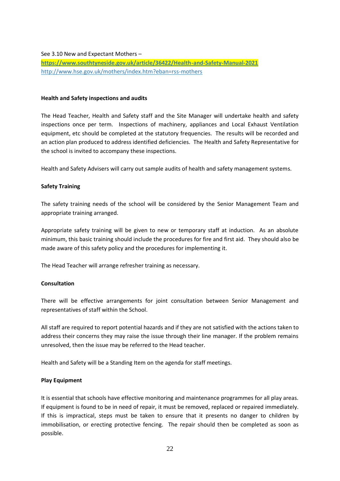See 3.10 New and Expectant Mothers –

**<https://www.southtyneside.gov.uk/article/36422/Health-and-Safety-Manual-2021>** <http://www.hse.gov.uk/mothers/index.htm?eban=rss-mothers>

## <span id="page-21-0"></span>**Health and Safety inspections and audits**

The Head Teacher, Health and Safety staff and the Site Manager will undertake health and safety inspections once per term. Inspections of machinery, appliances and Local Exhaust Ventilation equipment, etc should be completed at the statutory frequencies. The results will be recorded and an action plan produced to address identified deficiencies. The Health and Safety Representative for the school is invited to accompany these inspections.

Health and Safety Advisers will carry out sample audits of health and safety management systems.

## <span id="page-21-1"></span>**Safety Training**

The safety training needs of the school will be considered by the Senior Management Team and appropriate training arranged.

Appropriate safety training will be given to new or temporary staff at induction. As an absolute minimum, this basic training should include the procedures for fire and first aid. They should also be made aware of this safety policy and the procedures for implementing it.

The Head Teacher will arrange refresher training as necessary.

## <span id="page-21-2"></span>**Consultation**

There will be effective arrangements for joint consultation between Senior Management and representatives of staff within the School.

All staff are required to report potential hazards and if they are not satisfied with the actions taken to address their concerns they may raise the issue through their line manager. If the problem remains unresolved, then the issue may be referred to the Head teacher.

Health and Safety will be a Standing Item on the agenda for staff meetings.

## <span id="page-21-3"></span>**Play Equipment**

It is essential that schools have effective monitoring and maintenance programmes for all play areas. If equipment is found to be in need of repair, it must be removed, replaced or repaired immediately. If this is impractical, steps must be taken to ensure that it presents no danger to children by immobilisation, or erecting protective fencing. The repair should then be completed as soon as possible.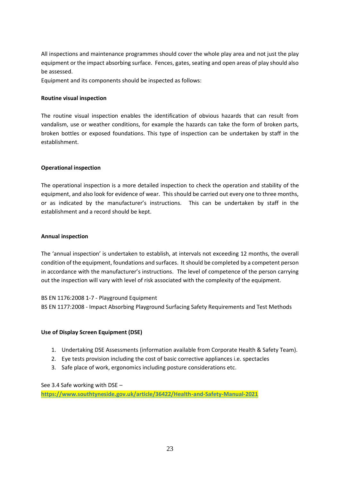All inspections and maintenance programmes should cover the whole play area and not just the play equipment or the impact absorbing surface. Fences, gates, seating and open areas of play should also be assessed.

Equipment and its components should be inspected as follows:

## **Routine visual inspection**

The routine visual inspection enables the identification of obvious hazards that can result from vandalism, use or weather conditions, for example the hazards can take the form of broken parts, broken bottles or exposed foundations. This type of inspection can be undertaken by staff in the establishment.

## **Operational inspection**

The operational inspection is a more detailed inspection to check the operation and stability of the equipment, and also look for evidence of wear. This should be carried out every one to three months, or as indicated by the manufacturer's instructions. This can be undertaken by staff in the establishment and a record should be kept.

## **Annual inspection**

The 'annual inspection' is undertaken to establish, at intervals not exceeding 12 months, the overall condition of the equipment, foundations and surfaces. It should be completed by a competent person in accordance with the manufacturer's instructions. The level of competence of the person carrying out the inspection will vary with level of risk associated with the complexity of the equipment.

BS EN 1176:2008 1-7 - Playground Equipment

BS EN 1177:2008 - Impact Absorbing Playground Surfacing Safety Requirements and Test Methods

## <span id="page-22-0"></span>**Use of Display Screen Equipment (DSE)**

- 1. Undertaking DSE Assessments (information available from Corporate Health & Safety Team).
- 2. Eye tests provision including the cost of basic corrective appliances i.e. spectacles
- 3. Safe place of work, ergonomics including posture considerations etc.

## See 3.4 Safe working with DSE –

<span id="page-22-1"></span>**<https://www.southtyneside.gov.uk/article/36422/Health-and-Safety-Manual-2021>**